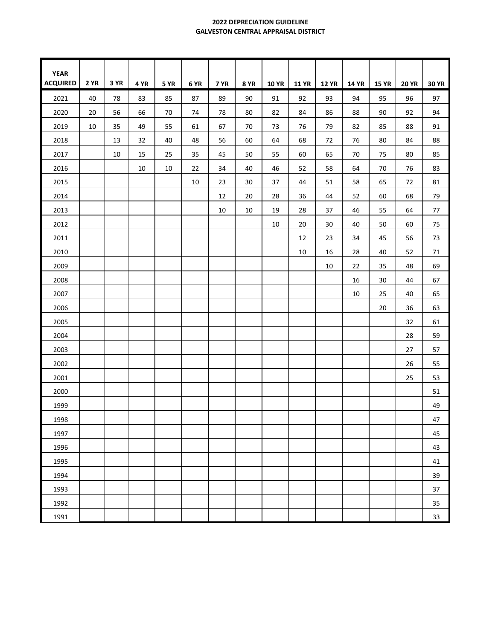## **2022 DEPRECIATION GUIDELINE GALVESTON CENTRAL APPRAISAL DISTRICT**

| <b>YEAR</b>     |             |      |      |             |      |             |             |              |              |              |              |              |              |              |
|-----------------|-------------|------|------|-------------|------|-------------|-------------|--------------|--------------|--------------|--------------|--------------|--------------|--------------|
| <b>ACQUIRED</b> | <b>2 YR</b> | 3 YR | 4 YR | <b>5 YR</b> | 6 YR | <b>7 YR</b> | <b>8 YR</b> | <b>10 YR</b> | <b>11 YR</b> | <b>12 YR</b> | <b>14 YR</b> | <b>15 YR</b> | <b>20 YR</b> | <b>30 YR</b> |
| 2021            | 40          | 78   | 83   | 85          | 87   | 89          | 90          | 91           | 92           | 93           | 94           | 95           | 96           | 97           |
| 2020            | 20          | 56   | 66   | 70          | 74   | 78          | 80          | 82           | 84           | 86           | 88           | 90           | 92           | 94           |
| 2019            | 10          | 35   | 49   | 55          | 61   | 67          | 70          | 73           | 76           | 79           | 82           | 85           | 88           | 91           |
| 2018            |             | 13   | 32   | 40          | 48   | 56          | 60          | 64           | 68           | 72           | 76           | 80           | 84           | 88           |
| 2017            |             | 10   | 15   | 25          | 35   | 45          | 50          | 55           | 60           | 65           | 70           | 75           | 80           | 85           |
| 2016            |             |      | 10   | 10          | 22   | 34          | 40          | 46           | 52           | 58           | 64           | 70           | 76           | 83           |
| 2015            |             |      |      |             | 10   | 23          | 30          | 37           | 44           | 51           | 58           | 65           | 72           | 81           |
| 2014            |             |      |      |             |      | 12          | 20          | 28           | 36           | 44           | 52           | 60           | 68           | 79           |
| 2013            |             |      |      |             |      | 10          | $10\,$      | 19           | 28           | 37           | 46           | 55           | 64           | 77           |
| 2012            |             |      |      |             |      |             |             | 10           | 20           | 30           | 40           | 50           | 60           | 75           |
| 2011            |             |      |      |             |      |             |             |              | 12           | 23           | 34           | 45           | 56           | 73           |
| 2010            |             |      |      |             |      |             |             |              | 10           | 16           | 28           | 40           | 52           | 71           |
| 2009            |             |      |      |             |      |             |             |              |              | 10           | 22           | 35           | 48           | 69           |
| 2008            |             |      |      |             |      |             |             |              |              |              | 16           | 30           | 44           | 67           |
| 2007            |             |      |      |             |      |             |             |              |              |              | 10           | 25           | 40           | 65           |
| 2006            |             |      |      |             |      |             |             |              |              |              |              | 20           | 36           | 63           |
| 2005            |             |      |      |             |      |             |             |              |              |              |              |              | 32           | 61           |
| 2004            |             |      |      |             |      |             |             |              |              |              |              |              | 28           | 59           |
| 2003            |             |      |      |             |      |             |             |              |              |              |              |              | 27           | 57           |
| 2002            |             |      |      |             |      |             |             |              |              |              |              |              | 26           | 55           |
| 2001            |             |      |      |             |      |             |             |              |              |              |              |              | 25           | 53           |
| 2000            |             |      |      |             |      |             |             |              |              |              |              |              |              | 51           |
| 1999            |             |      |      |             |      |             |             |              |              |              |              |              |              | 49           |
| 1998            |             |      |      |             |      |             |             |              |              |              |              |              |              | 47           |
| 1997            |             |      |      |             |      |             |             |              |              |              |              |              |              | 45           |
| 1996            |             |      |      |             |      |             |             |              |              |              |              |              |              | 43           |
| 1995            |             |      |      |             |      |             |             |              |              |              |              |              |              | 41           |
| 1994            |             |      |      |             |      |             |             |              |              |              |              |              |              | 39           |
| 1993            |             |      |      |             |      |             |             |              |              |              |              |              |              | 37           |
| 1992            |             |      |      |             |      |             |             |              |              |              |              |              |              | 35           |
| 1991            |             |      |      |             |      |             |             |              |              |              |              |              |              | 33           |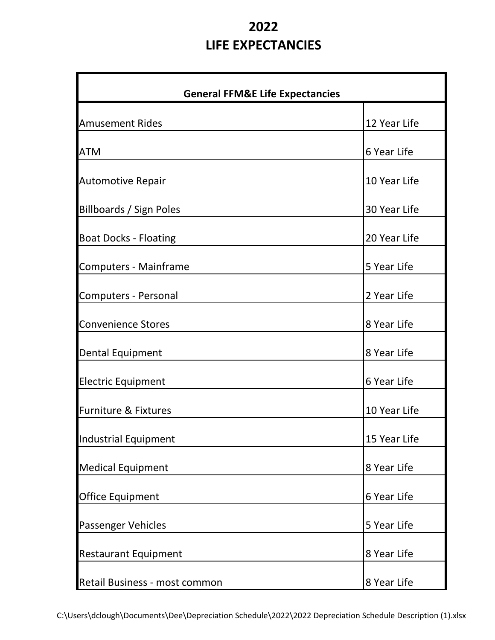## **2022 LIFE EXPECTANCIES**

| <b>General FFM&amp;E Life Expectancies</b> |              |  |  |  |  |
|--------------------------------------------|--------------|--|--|--|--|
| <b>Amusement Rides</b>                     | 12 Year Life |  |  |  |  |
| <b>ATM</b>                                 | 6 Year Life  |  |  |  |  |
| <b>Automotive Repair</b>                   | 10 Year Life |  |  |  |  |
| Billboards / Sign Poles                    | 30 Year Life |  |  |  |  |
| <b>Boat Docks - Floating</b>               | 20 Year Life |  |  |  |  |
| <b>Computers - Mainframe</b>               | 5 Year Life  |  |  |  |  |
| <b>Computers - Personal</b>                | 2 Year Life  |  |  |  |  |
| <b>Convenience Stores</b>                  | 8 Year Life  |  |  |  |  |
| <b>Dental Equipment</b>                    | 8 Year Life  |  |  |  |  |
| <b>Electric Equipment</b>                  | 6 Year Life  |  |  |  |  |
| <b>Furniture &amp; Fixtures</b>            | 10 Year Life |  |  |  |  |
| Industrial Equipment                       | 15 Year Life |  |  |  |  |
| <b>Medical Equipment</b>                   | 8 Year Life  |  |  |  |  |
| <b>Office Equipment</b>                    | 6 Year Life  |  |  |  |  |
| <b>Passenger Vehicles</b>                  | 5 Year Life  |  |  |  |  |
| <b>Restaurant Equipment</b>                | 8 Year Life  |  |  |  |  |
| Retail Business - most common              | 8 Year Life  |  |  |  |  |